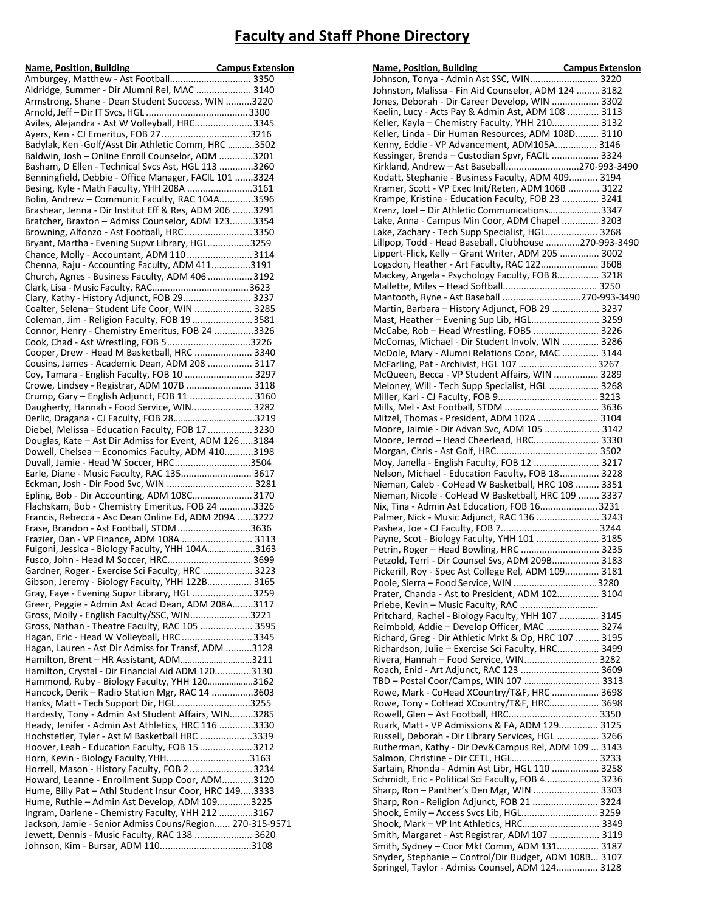## **Faculty and Staff Phone Directory**

| Aldridge, Summer - Dir Alumni Rel, MAC  3140                                                             |  |
|----------------------------------------------------------------------------------------------------------|--|
| Armstrong, Shane - Dean Student Success, WIN 3220                                                        |  |
| Aviles, Alejandra - Ast W Volleyball, HRC 3345                                                           |  |
| Ayers, Ken - CJ Emeritus, FOB 273216                                                                     |  |
| Badylak, Ken-Golf/Asst Dir Athletic Comm, HRC 3502                                                       |  |
| Baldwin, Josh - Online Enroll Counselor, ADM 3201                                                        |  |
| Basham, D Ellen - Technical Svcs Ast, HGL 113 3260                                                       |  |
| Benningfield, Debbie - Office Manager, FACIL 101 3324                                                    |  |
| Besing, Kyle - Math Faculty, YHH 208A 3161                                                               |  |
| Bolin, Andrew - Communic Faculty, RAC 104A3596<br>Brashear, Jenna - Dir Institut Eff & Res, ADM 206 3291 |  |
| Bratcher, Braxton - Admiss Counselor, ADM 1233354                                                        |  |
| Browning, Alfonzo - Ast Football, HRC3350                                                                |  |
| Bryant, Martha - Evening Supvr Library, HGL3259                                                          |  |
| Chance, Molly - Accountant, ADM 1103114                                                                  |  |
| Chenna, Raju - Accounting Faculty, ADM 4113191                                                           |  |
| Church, Agnes - Business Faculty, ADM 406  3192                                                          |  |
|                                                                                                          |  |
| Clary, Kathy - History Adjunct, FOB 29 3237<br>Coalter, Selena-Student Life Coor, WIN  3285              |  |
| Coleman, Jim - Religion Faculty, FOB 19  3581                                                            |  |
| Connor, Henry - Chemistry Emeritus, FOB 24 3326                                                          |  |
| Cook, Chad - Ast Wrestling, FOB 53226                                                                    |  |
| Cooper, Drew - Head M Basketball, HRC  3340                                                              |  |
| Cousins, James - Academic Dean, ADM 208  3117                                                            |  |
| Coy, Tamara - English Faculty, FOB 10  3297                                                              |  |
| Crowe, Lindsey - Registrar, ADM 107B  3118                                                               |  |
| Crump, Gary - English Adjunct, FOB 11  3160                                                              |  |
| Daugherty, Hannah - Food Service, WIN 3282<br>Derlic, Dragana - CJ Faculty, FOB 283219                   |  |
| Diebel, Melissa - Education Faculty, FOB 17  3230                                                        |  |
| Douglas, Kate - Ast Dir Admiss for Event, ADM 1263184                                                    |  |
| Dowell, Chelsea - Economics Faculty, ADM 4103198                                                         |  |
| Duvall, Jamie - Head W Soccer, HRC3504                                                                   |  |
| Earle, Diane - Music Faculty, RAC 135 3617                                                               |  |
| Eckman, Josh - Dir Food Svc, WIN  3281                                                                   |  |
| Epling, Bob - Dir Accounting, ADM 108C 3170<br>Flachskam, Bob - Chemistry Emeritus, FOB 24 3326          |  |
| Francis, Rebecca - Asc Dean Online Ed, ADM 209A 3222                                                     |  |
| Frase, Brandon - Ast Football, STDM3636                                                                  |  |
| Frazier, Dan - VP Finance, ADM 108A  3113                                                                |  |
| Fulgoni, Jessica - Biology Faculty, YHH 104A3163                                                         |  |
| Gardner, Roger - Exercise Sci Faculty, HRC  3223                                                         |  |
| Gibson, Jeremy - Biology Faculty, YHH 122B 3165                                                          |  |
| Gray, Faye - Evening Supvr Library, HGL  3259                                                            |  |
| Greer, Peggie - Admin Ast Acad Dean, ADM 208A3117                                                        |  |
| Gross, Molly - English Faculty/SSC, WIN3221                                                              |  |
| Gross, Nathan - Theatre Faculty, RAC 105  3595                                                           |  |
| Hagan, Eric - Head W Volleyball, HRC 3345                                                                |  |
| Hagan, Lauren - Ast Dir Admiss for Transf, ADM 3128                                                      |  |
| Hamilton, Brent - HR Assistant, ADM3211<br>Hamilton, Crystal - Dir Financial Aid ADM 1203130             |  |
| Hammond, Ruby - Biology Faculty, YHH 1203162                                                             |  |
| Hancock, Derik - Radio Station Mgr, RAC 14 3603                                                          |  |
| Hanks, Matt - Tech Support Dir, HGL3255                                                                  |  |
| Hardesty, Tony - Admin Ast Student Affairs, WIN3285                                                      |  |
| Heady, Jenifer - Admin Ast Athletics, HRC 116 3330                                                       |  |
| Hochstetler, Tyler - Ast M Basketball HRC 3339                                                           |  |
| Hoover, Leah - Education Faculty, FOB 15  3212<br>Horn, Kevin - Biology Faculty, YHH3163                 |  |
| Horrell, Mason - History Faculty, FOB 23234                                                              |  |
| Howard, Leanne - Enrollment Supp Coor, ADM3120                                                           |  |
| Hume, Billy Pat - Athl Student Insur Coor, HRC 1493333                                                   |  |
| Hume, Ruthie - Admin Ast Develop, ADM 1093225                                                            |  |
| Ingram, Darlene - Chemistry Faculty, YHH 212 3167                                                        |  |
| Jackson, Jamie - Senior Admiss Couns/Region 270-315-9571                                                 |  |
| Jewett, Dennis - Music Faculty, RAC 138  3620                                                            |  |
|                                                                                                          |  |

| Name, Position, Building<br>Johnson, Tonya - Admin Ast SSC, WIN 3220                                        |  |
|-------------------------------------------------------------------------------------------------------------|--|
|                                                                                                             |  |
| Johnston, Malissa - Fin Aid Counselor, ADM 124  3182                                                        |  |
| Jones, Deborah - Dir Career Develop, WIN  3302                                                              |  |
| Kaelin, Lucy - Acts Pay & Admin Ast, ADM 108  3113                                                          |  |
| Keller, Kayla - Chemistry Faculty, YHH 210 3132                                                             |  |
| Keller, Linda - Dir Human Resources, ADM 108D 3110                                                          |  |
| Kenny, Eddie - VP Advancement, ADM105A 3146                                                                 |  |
| Kessinger, Brenda - Custodian Spvr, FACIL  3324<br>Kirkland, Andrew - Ast Baseball270-993-3490              |  |
| Kodatt, Stephanie - Business Faculty, ADM 409 3194                                                          |  |
| Kramer, Scott - VP Exec Init/Reten, ADM 106B  3122                                                          |  |
| Krampe, Kristina - Education Faculty, FOB 23  3241                                                          |  |
| Krenz, Joel - Dir Athletic Communications3347                                                               |  |
| Lake, Anna - Campus Min Coor, ADM Chapel  3203                                                              |  |
| Lake, Zachary - Tech Supp Specialist, HGL 3268                                                              |  |
| Lillpop, Todd - Head Baseball, Clubhouse 270-993-3490                                                       |  |
| Lippert-Flick, Kelly - Grant Writer, ADM 205  3002                                                          |  |
| Logsdon, Heather - Art Faculty, RAC 122 3608                                                                |  |
| Mackey, Angela - Psychology Faculty, FOB 8 3218                                                             |  |
|                                                                                                             |  |
| Mantooth, Ryne - Ast Baseball 270-993-3490                                                                  |  |
| Martin, Barbara - History Adjunct, FOB 29  3237                                                             |  |
| Mast, Heather - Evening Sup Lib, HGL 3259<br>McCabe, Rob - Head Wrestling, FOB5  3226                       |  |
| McComas, Michael - Dir Student Involv, WIN  3286                                                            |  |
| McDole, Mary - Alumni Relations Coor, MAC  3144                                                             |  |
| McFarling, Pat - Archivist, HGL 107  3267                                                                   |  |
| McQueen, Becca - VP Student Affairs, WIN  3289                                                              |  |
| Meloney, Will - Tech Supp Specialist, HGL  3268                                                             |  |
|                                                                                                             |  |
|                                                                                                             |  |
| Mitzel, Thomas - President, ADM 102A  3104                                                                  |  |
| Moore, Jaimie - Dir Advan Svc, ADM 105  3142                                                                |  |
| Moore, Jerrod - Head Cheerlead, HRC 3330                                                                    |  |
|                                                                                                             |  |
| Moy, Janella - English Faculty, FOB 12  3217                                                                |  |
| Nelson, Michael - Education Faculty, FOB 18 3228                                                            |  |
| Nieman, Caleb - CoHead W Basketball, HRC 108  3351                                                          |  |
| Nieman, Nicole - CoHead W Basketball, HRC 109  3337                                                         |  |
| Nix, Tina - Admin Ast Education, FOB 163231<br>Palmer, Nick - Music Adjunct, RAC 136  3243                  |  |
|                                                                                                             |  |
| Payne, Scot - Biology Faculty, YHH 101  3185                                                                |  |
| Petrin, Roger - Head Bowling, HRC  3235                                                                     |  |
| Petzold, Terri - Dir Counsel Svs, ADM 209B 3183                                                             |  |
| Pickerill, Roy - Spec Ast College Rel, ADM 109 3181                                                         |  |
| Poole, Sierra - Food Service, WIN 3280                                                                      |  |
| Prater, Chanda - Ast to President, ADM 102 3104                                                             |  |
| Priebe, Kevin - Music Faculty, RAC                                                                          |  |
| Pritchard, Rachel - Biology Faculty, YHH 107  3145                                                          |  |
| Reimbold, Addie - Develop Officer, MAC  3274                                                                |  |
| Richard, Greg - Dir Athletic Mrkt & Op, HRC 107  3195<br>Richardson, Julie - Exercise Sci Faculty, HRC 3499 |  |
| Rivera, Hannah - Food Service, WIN 3282                                                                     |  |
| Roach, Enid - Art Adjunct, RAC 123  3609                                                                    |  |
| TBD - Postal Coor/Camps, WIN 107  3313                                                                      |  |
| Rowe, Mark - CoHead XCountry/T&F, HRC  3698                                                                 |  |
| Rowe, Tony - CoHead XCountry/T&F, HRC 3698                                                                  |  |
| Rowell, Glen - Ast Football, HRC 3350                                                                       |  |
| Ruark, Matt - VP Admissions & FA, ADM 129 3125                                                              |  |
| Russell, Deborah - Dir Library Services, HGL  3266                                                          |  |
| Rutherman, Kathy - Dir Dev&Campus Rel, ADM 109  3143                                                        |  |
| Salmon, Christine - Dir CETL, HGL 3233                                                                      |  |
| Sartain, Rhonda - Admin Ast Libr, HGL 110  3258                                                             |  |
| Schmidt, Eric - Political Sci Faculty, FOB 4  3236<br>Sharp, Ron - Panther's Den Mgr, WIN  3303             |  |
| Sharp, Ron - Religion Adjunct, FOB 21  3224                                                                 |  |
| Shook, Emily - Access Svcs Lib, HGL 3259                                                                    |  |
| Shook, Mark - VP Int Athletics, HRC 3349                                                                    |  |
| Smith, Margaret - Ast Registrar, ADM 107  3119                                                              |  |
| Smith, Sydney - Coor Mkt Comm, ADM 131 3187                                                                 |  |
| Snyder, Stephanie - Control/Dir Budget, ADM 108B 3107                                                       |  |
| Springel, Taylor - Admiss Counsel, ADM 124 3128                                                             |  |